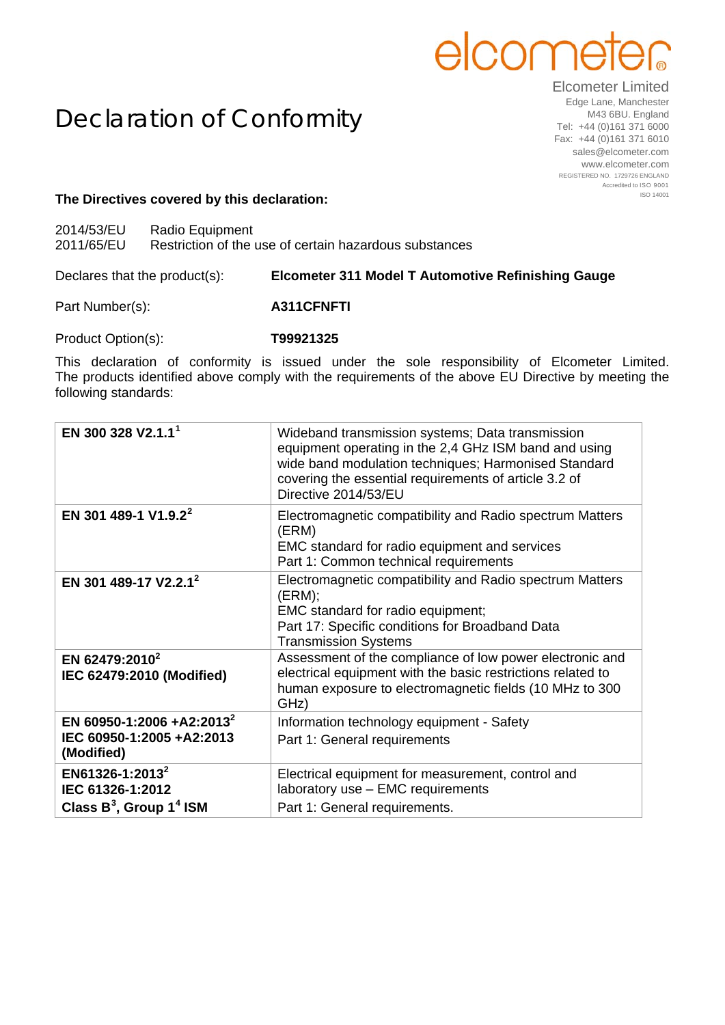## elcome

## Declaration of Conformity

Elcometer Limited Edge Lane, Manchester M43 6BU. England Tel: +44 (0)161 371 6000 Fax: +44 (0)161 371 6010 sales@elcometer.com www.elcometer.com REGISTERED NO. 1729726 ENGLAND Accredited to ISO 9001 ISO 14001

## **The Directives covered by this declaration:**

2014/53/EU Radio Equipment

2011/65/EU Restriction of the use of certain hazardous substances

Declares that the product(s): **Elcometer 311 Model T Automotive Refinishing Gauge**

Part Number(s): **A311CFNFTI** 

Product Option(s): **T99921325**

This declaration of conformity is issued under the sole responsibility of Elcometer Limited. The products identified above comply with the requirements of the above EU Directive by meeting the following standards:

| EN 300 328 V2.1.1 <sup>1</sup>                                                            | Wideband transmission systems; Data transmission<br>equipment operating in the 2,4 GHz ISM band and using<br>wide band modulation techniques; Harmonised Standard<br>covering the essential requirements of article 3.2 of<br>Directive 2014/53/EU |
|-------------------------------------------------------------------------------------------|----------------------------------------------------------------------------------------------------------------------------------------------------------------------------------------------------------------------------------------------------|
| EN 301 489-1 V1.9.2 <sup>2</sup>                                                          | Electromagnetic compatibility and Radio spectrum Matters<br>(ERM)<br>EMC standard for radio equipment and services<br>Part 1: Common technical requirements                                                                                        |
| EN 301 489-17 V2.2.1 <sup>2</sup>                                                         | Electromagnetic compatibility and Radio spectrum Matters<br>(ERM);<br>EMC standard for radio equipment;<br>Part 17: Specific conditions for Broadband Data<br><b>Transmission Systems</b>                                                          |
| EN 62479:2010 <sup>2</sup><br>IEC 62479:2010 (Modified)                                   | Assessment of the compliance of low power electronic and<br>electrical equipment with the basic restrictions related to<br>human exposure to electromagnetic fields (10 MHz to 300<br>GHz)                                                         |
| EN 60950-1:2006 +A2:2013 <sup>2</sup><br>IEC 60950-1:2005 +A2:2013<br>(Modified)          | Information technology equipment - Safety<br>Part 1: General requirements                                                                                                                                                                          |
| EN61326-1:2013 <sup>2</sup><br>IEC 61326-1:2012<br>Class $B^3$ , Group 1 <sup>4</sup> ISM | Electrical equipment for measurement, control and<br>laboratory use - EMC requirements<br>Part 1: General requirements.                                                                                                                            |